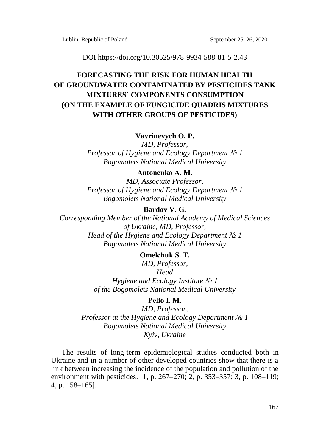DOI https://doi.org/10.30525/978-9934-588-81-5-2.43

# **FORECASTING THE RISK FOR HUMAN HEALTH OF GROUNDWATER CONTAMINATED BY PESTICIDES TANK MIXTURES' COMPONENTS CONSUMPTION (ON THE EXAMPLE OF FUNGICIDE QUADRIS MIXTURES WITH OTHER GROUPS OF PESTICIDES)**

### **Vavrinevych O. P.**

*MD, Professor, Professor of Hygiene and Ecology Department № 1 Bogomolets National Medical University* 

### **Antonenko А. М.**

*MD, Associate Professor, Professor of Hygiene and Ecology Department № 1 Bogomolets National Medical University*

## **Bardov V. G.**

*Corresponding Member of the National Academy of Medical Sciences of Ukraine, MD, Professor, Head of the Hygiene and Ecology Department № 1 Bogomolets National Medical University*

# **Omelchuk S. Т.**

*MD, Professor, Head Hygiene and Ecology Institute № 1 of the Bogomolets National Medical University*

## **Pelio І. М.**

*MD, Professor, Professor at the Hygiene and Ecology Department № 1 Bogomolets National Medical University Kyiv, Ukraine*

The results of long-term epidemiological studies conducted both in Ukraine and in a number of other developed countries show that there is a link between increasing the incidence of the population and pollution of the environment with pesticides. [1, p. 267–270; 2, p. 353–357; 3, p. 108–119; 4, p. 158–165].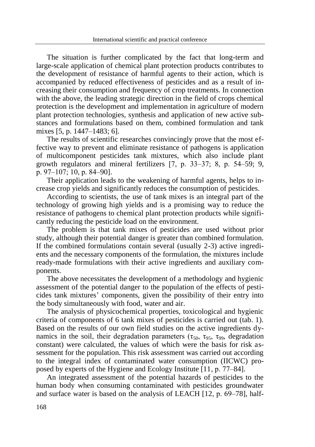The situation is further complicated by the fact that long-term and large-scale application of chemical plant protection products contributes to the development of resistance of harmful agents to their action, which is accompanied by reduced effectiveness of pesticides and as a result of increasing their consumption and frequency of crop treatments. In connection with the above, the leading strategic direction in the field of crops chemical protection is the development and implementation in agriculture of modern plant protection technologies, synthesis and application of new active substances and formulations based on them, combined formulation and tank mixes [5, p. 1447–1483; 6].

The results of scientific researches convincingly prove that the most effective way to prevent and eliminate resistance of pathogens is application of multicomponent pesticides tank mixtures, which also include plant growth regulators and mineral fertilizers [7, р. 33–37; 8, р. 54–59; 9, р. 97–107; 10, р. 84–90].

Their application leads to the weakening of harmful agents, helps to increase crop yields and significantly reduces the consumption of pesticides.

According to scientists, the use of tank mixes is an integral part of the technology of growing high yields and is a promising way to reduce the resistance of pathogens to chemical plant protection products while significantly reducing the pesticide load on the environment.

The problem is that tank mixes of pesticides are used without prior study, although their potential danger is greater than combined formulation. If the combined formulations contain several (usually 2-3) active ingredients and the necessary components of the formulation, the mixtures include ready-made formulations with their active ingredients and auxiliary components.

The above necessitates the development of a methodology and hygienic assessment of the potential danger to the population of the effects of pesticides tank mixtures' components, given the possibility of their entry into the body simultaneously with food, water and air.

The analysis of physicochemical properties, toxicological and hygienic criteria of components of 6 tank mixes of pesticides is carried out (tab. 1). Based on the results of our own field studies on the active ingredients dynamics in the soil, their degradation parameters ( $\tau_{50}$ ,  $\tau_{95}$ ,  $\tau_{99}$ , degradation constant) were calculated, the values of which were the basis for risk assessment for the population. This risk assessment was carried out according to the integral index of contaminated water consumption (IICWC) proposed by experts of the Hygiene and Ecology Institute [11, р. 77–84].

An integrated assessment of the potential hazards of pesticides to the human body when consuming contaminated with pesticides groundwater and surface water is based on the analysis of LEACH [12, р. 69–78], half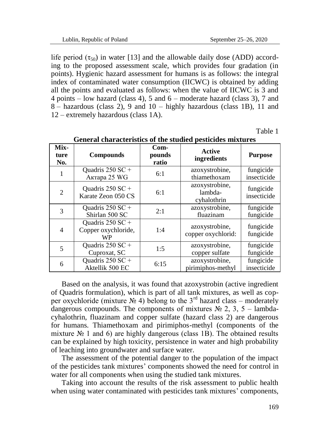life period  $(\tau_{50})$  in water [13] and the allowable daily dose (ADD) according to the proposed assessment scale, which provides four gradation (in points). Hygienic hazard assessment for humans is as follows: the integral index of contaminated water consumption (IICWC) is obtained by adding all the points and evaluated as follows: when the value of IICWC is 3 and 4 points – low hazard (class 4), 5 and 6 – moderate hazard (class 3), 7 and 8 – hazardous (class 2), 9 and 10 – highly hazardous (class 1B), 11 and 12 – extremely hazardous (class 1A).

Table 1

| Mix-<br>ture<br>No. | <b>Compounds</b>                              | $Com-$<br>pounds<br>ratio | <b>Active</b><br>ingredients             | <b>Purpose</b>           |
|---------------------|-----------------------------------------------|---------------------------|------------------------------------------|--------------------------|
|                     | Ouadris $250$ SC +<br>Актара 25 WG            | 6:1                       | azoxystrobine,<br>thiamethoxam           | fungicide<br>insecticide |
| $\mathcal{L}$       | Ouadris $250$ SC +<br>Karate Zeon 050 CS      | 6:1                       | azoxystrobine.<br>lambda-<br>cyhalothrin | fungicide<br>insecticide |
| 3                   | Quadris 250 SC +<br>Shirlan 500 SC            | 2:1                       | azoxystrobine.<br>fluazinam              | fungicide<br>fungicide   |
| 4                   | Quadris 250 SC +<br>Copper oxychloride,<br>WP | 1:4                       | azoxystrobine.<br>copper oxychlorid:     | fungicide<br>fungicide   |
| 5                   | Ouadris $250$ SC +<br>Cuproxat, SC            | 1:5                       | azoxystrobine.<br>copper sulfate         | fungicide<br>fungicide   |
| 6                   | Quadris 250 SC +<br>Aktellik 500 EC           | 6:15                      | azoxystrobine.<br>pirimiphos-methyl      | fungicide<br>insecticide |

**General characteristics of the studied pesticides mixtures**

Based on the analysis, it was found that azoxystrobin (active ingredient of Quadris formulation), which is part of all tank mixtures, as well as copper oxychloride (mixture  $\mathcal{N}_2$  4) belong to the 3<sup>rd</sup> hazard class – moderately dangerous compounds. The components of mixtures  $\mathcal{N}_2$  2, 3, 5 – lambdacyhalothrin, fluazinam and copper sulfate (hazard class 2) are dangerous for humans. Thiamethoxam and pirimiphos-methyl (components of the mixture  $\mathcal{N}_2$  1 and 6) are highly dangerous (class 1B). The obtained results can be explained by high toxicity, persistence in water and high probability of leaching into groundwater and surface water.

The assessment of the potential danger to the population of the impact of the pesticides tank mixtures' components showed the need for control in water for all components when using the studied tank mixtures.

Taking into account the results of the risk assessment to public health when using water contaminated with pesticides tank mixtures' components,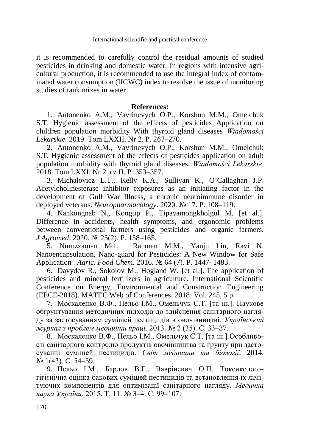it is recommended to carefully control the residual amounts of studied pesticides in drinking and domestic water. In regions with intensive agricultural production, it is recommended to use the integral index of contaminated water consumption (IICWC) index to resolve the issue of monitoring studies of tank mixes in water.

## **References:**

1. Antonenko A.M., Vavrinevych O.P., Korshun M.M., Omelchuk S.T. Hygienic assessment of the effects of pesticides Application on children population morbidity With thyroid gland diseases *Wiadomości Lekarskie.* 2019. Tom LXXII. Nr 2. Р. 267–270.

2. Antonenko A.M., Vavrinevych O.P., Korshun M.M., Omelchuk S.T. Hygienic assessment of the effects of pesticides application on adult population morbidity with thyroid gland diseases. *Wiadomości Lekarskie*. 2018. Tom LXXI. Nr 2. cz II. Р. 353–357.

3. Michalovicz L.T., Kelly K.A., Sullivan K., O'Callaghan J.P. Acetylcholinesterase inhibitor exposures as an initiating factor in the development of Gulf War Illness, a chronic neuroimmune disorder in deployed veterans. *Neuropharmacology*. 2020. № 17. P. 108–119.

4. Nankongnab N., Kongtip P., Tipayamongkholgul M. [et al.]. Difference in accidents, health symptoms, and ergonomic problems between conventional farmers using pesticides and organic farmers. *J Agromed*. 2020. № 25(2). P. 158–165.

5. Nuruzzaman Md., Rahman M.M., Yanju Liu, Ravi N. Nanoencapsulation, Nano-guard for Pesticides: A New Window for Safe Application *. Agric. Food Chem.* 2016. № 64 (7). P. 1447–1483.

6. Davydov R., Sokolov M., Hogland W. [et al.]. The application of pesticides and mineral fertilizers in agriculture. International Scientific Conference on Energy, Environmental and Construction Engineering (EECE-2018). MATEC Web of Conferences. 2018. Vol. 245, 5 p.

7. Москаленко В.Ф., Пельо І.М., Омельчук С.Т. [та ін.]. Наукове обґрунтування методичних підходів до здійснення санітарного нагляду за застосуванням сумішей пестицидів в овочівництві. *Український журнал з проблем медицини праці*. 2013. № 2 (35). С. 33–37.

8. Москаленко В.Ф., Пельо І.М., Омельчук С.Т. [та ін.] Особливості санітарного контролю продуктів овочівництва та грунту при застосуванні сумішей пестицидів. *Світ медицини та біології*. 2014. № 1(43). С. 54–59.

9. Пельо І.М., Бардов В.Г., Вавріневич О.П. Токсикологогігієнічна оцінка бакових сумішей пестицидів та встановлення їх лімітуючих компонентів для оптимізації санітарного нагляду. *Медична наука України*. 2015. Т. 11. № 3–4. С. 99–107.